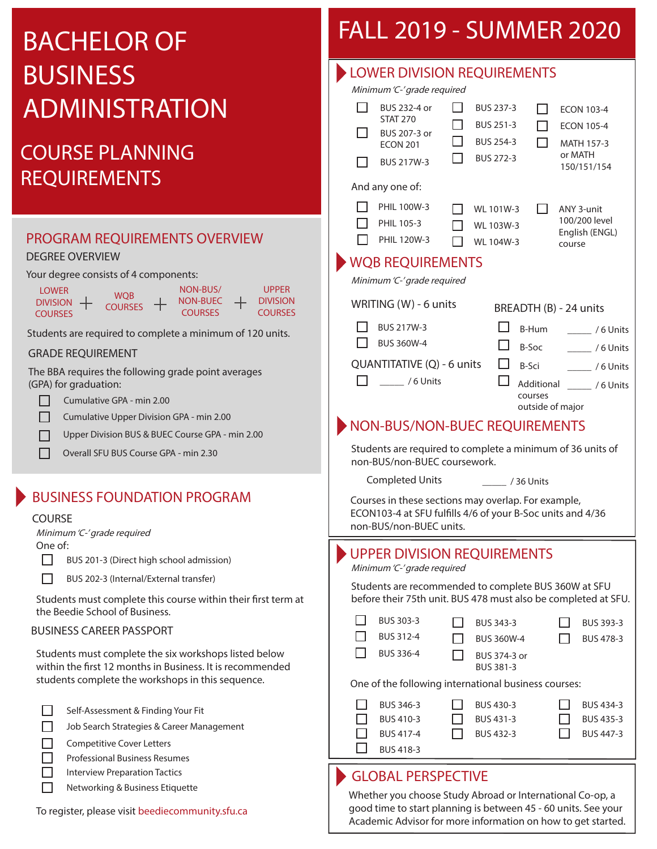# BACHELOR OF **BUSINESS** ADMINISTRATION

## COURSE PLANNING REQUIREMENTS

### PROGRAM REQUIREMENTS OVERVIEW

#### DEGREE OVERVIEW

Your degree consists of 4 components:

| <b>LOWER</b>          |                | NON-BUS/       | <b>UPPFR</b>    |
|-----------------------|----------------|----------------|-----------------|
| <b>DIVISION</b><br>── | WOB            | NON-BUEC       | <b>DIVISION</b> |
| COURSES.              | <b>COURSES</b> | <b>COURSES</b> | <b>COURSES</b>  |

Students are required to complete a minimum of 120 units.

#### GRADE REQUIREMENT

The BBA requires the following grade point averages (GPA) for graduation:

- П Cumulative GPA - min 2.00
- П Cumulative Upper Division GPA - min 2.00
- Upper Division BUS & BUEC Course GPA min 2.00 П
- П Overall SFU BUS Course GPA - min 2.30

### BUSINESS FOUNDATION PROGRAM

#### COURSE

Minimum 'C-' grade required

One of:

П

П BUS 201-3 (Direct high school admission)

BUS 202-3 (Internal/External transfer)

Students must complete this course within their first term at the Beedie School of Business.

#### BUSINESS CAREER PASSPORT

Students must complete the six workshops listed below within the first 12 months in Business. It is recommended students complete the workshops in this sequence.

- Self-Assessment & Finding Your Fit
- $\Box$ Job Search Strategies & Career Management

 $\Box$ Competitive Cover Letters

- $\Box$ Professional Business Resumes
- Interview Preparation Tactics
	- Networking & Business Etiquette

#### To register, please visit beediecommunity.sfu.ca

## FALL 2019 - SUMMER 2020

| <b>LOWER DIVISION REQUIREMENTS</b><br>Minimum 'C-' grade required                                                                                                                                                                                  |  |  |  |  |  |  |  |
|----------------------------------------------------------------------------------------------------------------------------------------------------------------------------------------------------------------------------------------------------|--|--|--|--|--|--|--|
| BUS 232-4 or<br><b>BUS 237-3</b><br><b>ECON 103-4</b><br><b>STAT 270</b><br>BUS 251-3<br><b>ECON 105-4</b><br>BUS 207-3 or<br><b>BUS 254-3</b><br><b>MATH 157-3</b><br><b>ECON 201</b><br>or MATH<br>BUS 272-3<br><b>BUS 217W-3</b><br>150/151/154 |  |  |  |  |  |  |  |
| And any one of:                                                                                                                                                                                                                                    |  |  |  |  |  |  |  |
| PHIL 100W-3<br>WL 101W-3<br>ANY 3-unit<br>100/200 level<br>PHIL 105-3<br>WL 103W-3<br>English (ENGL)<br><b>PHIL 120W-3</b><br>WL 104W-3<br>course                                                                                                  |  |  |  |  |  |  |  |
| <b>WQB REQUIREMENTS</b><br>Minimum 'C-' grade required                                                                                                                                                                                             |  |  |  |  |  |  |  |
| WRITING (W) - 6 units<br>BREADTH (B) - 24 units                                                                                                                                                                                                    |  |  |  |  |  |  |  |
| <b>BUS 217W-3</b><br>B-Hum<br>/ 6 Units<br><b>BUS 360W-4</b><br>B-Soc<br>$\frac{1}{2}$ /6 Units                                                                                                                                                    |  |  |  |  |  |  |  |
| QUANTITATIVE (Q) - 6 units<br>B-Sci<br>$\frac{1}{2}$ /6 Units<br>/ 6 Units<br>Additional<br>/ 6 Units<br>courses                                                                                                                                   |  |  |  |  |  |  |  |
| outside of major                                                                                                                                                                                                                                   |  |  |  |  |  |  |  |
| NON-BUS/NON-BUEC REQUIREMENTS<br>Students are required to complete a minimum of 36 units of<br>non-BUS/non-BUEC coursework.<br><b>Completed Units</b><br>/ 36 Units                                                                                |  |  |  |  |  |  |  |
| Courses in these sections may overlap. For example,<br>ECON103-4 at SFU fulfills 4/6 of your B-Soc units and 4/36<br>non-BUS/non-BUEC units.                                                                                                       |  |  |  |  |  |  |  |
| <b>UPPER DIVISION REQUIREMENTS</b><br>Minimum 'C-' grade required                                                                                                                                                                                  |  |  |  |  |  |  |  |
| Students are recommended to complete BUS 360W at SFU<br>before their 75th unit. BUS 478 must also be completed at SFU.                                                                                                                             |  |  |  |  |  |  |  |
| BUS 303-3<br>BUS 343-3<br>BUS 393-3<br>BUS 312-4<br><b>BUS 360W-4</b><br>BUS 478-3<br>BUS 336-4<br>BUS 374-3 or<br><b>BUS 381-3</b>                                                                                                                |  |  |  |  |  |  |  |
| One of the following international business courses:                                                                                                                                                                                               |  |  |  |  |  |  |  |
| BUS 346-3<br>BUS 430-3<br>BUS 434-3<br>BUS 410-3<br>BUS 431-3<br>BUS 435-3<br><b>BUS 417-4</b><br>BUS 447-3<br>BUS 432-3<br><b>BUS 418-3</b>                                                                                                       |  |  |  |  |  |  |  |
| <b>GLOBAL PERSPECTIVE</b>                                                                                                                                                                                                                          |  |  |  |  |  |  |  |

Whether you choose Study Abroad or International Co-op, a good time to start planning is between 45 - 60 units. See your Academic Advisor for more information on how to get started.